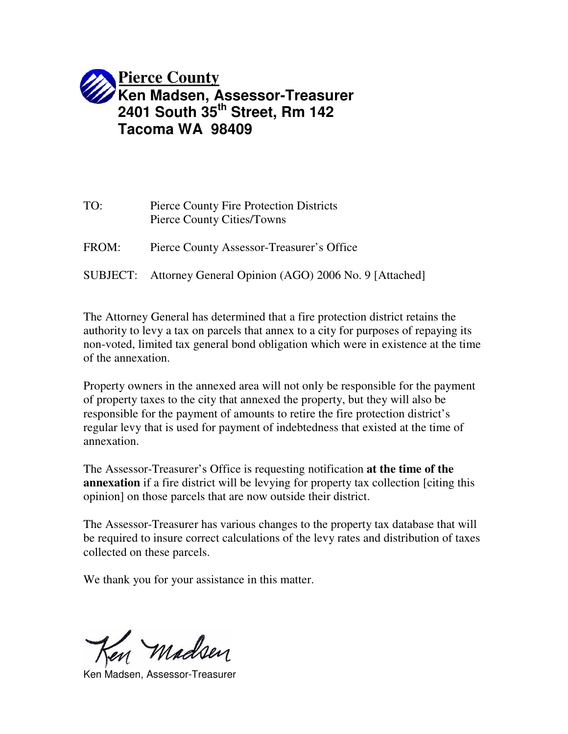

| TO:   | Pierce County Fire Protection Districts<br>Pierce County Cities/Towns |
|-------|-----------------------------------------------------------------------|
| FROM: | Pierce County Assessor-Treasurer's Office                             |
|       | SUBJECT: Attorney General Opinion (AGO) 2006 No. 9 [Attached]         |

The Attorney General has determined that a fire protection district retains the authority to levy a tax on parcels that annex to a city for purposes of repaying its non-voted, limited tax general bond obligation which were in existence at the time of the annexation.

Property owners in the annexed area will not only be responsible for the payment of property taxes to the city that annexed the property, but they will also be responsible for the payment of amounts to retire the fire protection district's regular levy that is used for payment of indebtedness that existed at the time of annexation.

The Assessor-Treasurer's Office is requesting notification **at the time of the annexation** if a fire district will be levying for property tax collection [citing this opinion] on those parcels that are now outside their district.

The Assessor-Treasurer has various changes to the property tax database that will be required to insure correct calculations of the levy rates and distribution of taxes collected on these parcels.

We thank you for your assistance in this matter.

Madsen

Ken Madsen, Assessor-Treasurer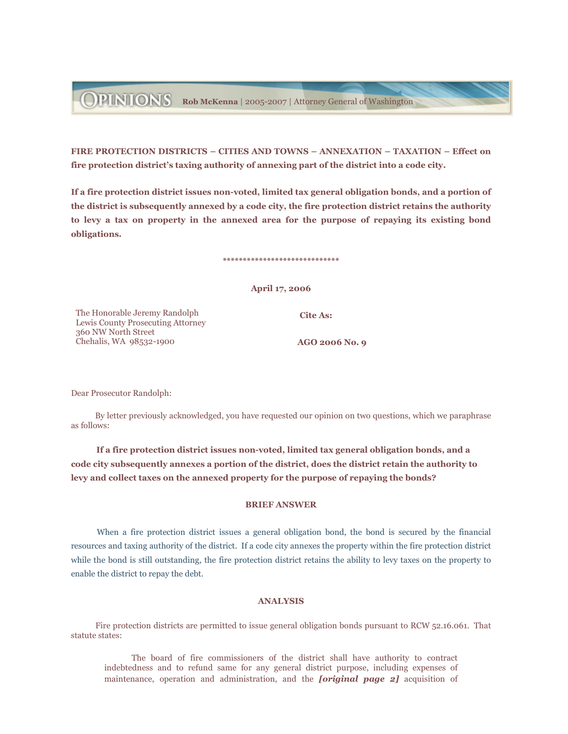**DEINIONS** Rob McKenna | 2005-2007 | Attorney General of Washington

FIRE PROTECTION DISTRICTS - CITIES AND TOWNS - ANNEXATION - TAXATION - Effect on fire protection district's taxing authority of annexing part of the district into a code city.

If a fire protection district issues non-voted, limited tax general obligation bonds, and a portion of the district is subsequently annexed by a code city, the fire protection district retains the authority to levy a tax on property in the annexed area for the purpose of repaying its existing bond obligations.

## April 17, 2006

\*\*\*\*\*\*\*\*\*\*\*\*\*\*\*\*\*\*\*\*\*\*\*\*\*\*\*\*\*

**Cite As:** 

The Honorable Jeremy Randolph Lewis County Prosecuting Attorney 360 NW North Street Chehalis, WA 98532-1900

AGO 2006 No. 9

Dear Prosecutor Randolph:

By letter previously acknowledged, you have requested our opinion on two questions, which we paraphrase as follows:

If a fire protection district issues non-voted, limited tax general obligation bonds, and a code city subsequently annexes a portion of the district, does the district retain the authority to levy and collect taxes on the annexed property for the purpose of repaying the bonds?

## **BRIEF ANSWER**

When a fire protection district issues a general obligation bond, the bond is secured by the financial resources and taxing authority of the district. If a code city annexes the property within the fire protection district while the bond is still outstanding, the fire protection district retains the ability to levy taxes on the property to enable the district to repay the debt.

## **ANALYSIS**

Fire protection districts are permitted to issue general obligation bonds pursuant to RCW 52.16.061. That statute states:

The board of fire commissioners of the district shall have authority to contract indebtedness and to refund same for any general district purpose, including expenses of maintenance, operation and administration, and the *foriginal page 2]* acquisition of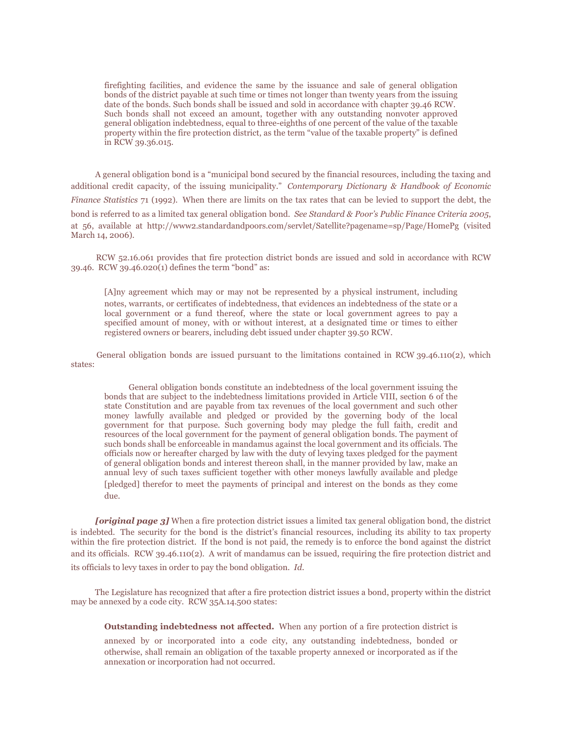firefighting facilities, and evidence the same by the issuance and sale of general obligation bonds of the district payable at such time or times not longer than twenty years from the issuing date of the bonds. Such bonds shall be issued and sold in accordance with chapter 39.46 RCW. Such bonds shall not exceed an amount, together with any outstanding nonvoter approved general obligation indebtedness, equal to three-eighths of one percent of the value of the taxable property within the fire protection district, as the term "value of the taxable property" is defined in RCW 39.36.015.

A general obligation bond is a "municipal bond secured by the financial resources, including the taxing and additional credit capacity, of the issuing municipality." Contemporary Dictionary & Handbook of Economic Finance Statistics 71 (1992). When there are limits on the tax rates that can be levied to support the debt, the bond is referred to as a limited tax general obligation bond. See Standard & Poor's Public Finance Criteria 2005, at 56, available at http://www2.standardandpoors.com/servlet/Satellite?pagename=sp/Page/HomePg (visited March 14, 2006).

RCW 52.16.061 provides that fire protection district bonds are issued and sold in accordance with RCW 39.46. RCW 39.46.020(1) defines the term "bond" as:

[A]ny agreement which may or may not be represented by a physical instrument, including notes, warrants, or certificates of indebtedness, that evidences an indebtedness of the state or a local government or a fund thereof, where the state or local government agrees to pay a specified amount of money, with or without interest, at a designated time or times to either registered owners or bearers, including debt issued under chapter 39.50 RCW.

General obligation bonds are issued pursuant to the limitations contained in RCW  $39.46.110(2)$ , which states:

General obligation bonds constitute an indebtedness of the local government issuing the bonds that are subject to the indebtedness limitations provided in Article VIII, section 6 of the state Constitution and are payable from tax revenues of the local government and such other money lawfully available and pledged or provided by the governing body of the local government for that purpose. Such governing body may pledge the full faith, credit and resources of the local government for the payment of general obligation bonds. The payment of such bonds shall be enforceable in mandamus against the local government and its officials. The officials now or hereafter charged by law with the duty of levying taxes pledged for the payment of general obligation bonds and interest thereon shall, in the manner provided by law, make an annual levy of such taxes sufficient together with other moneys lawfully available and pledge [pledged] therefor to meet the payments of principal and interest on the bonds as they come due.

**[original page 3]** When a fire protection district issues a limited tax general obligation bond, the district is indebted. The security for the bond is the district's financial resources, including its ability to tax property within the fire protection district. If the bond is not paid, the remedy is to enforce the bond against the district and its officials. RCW 39.46.110(2). A writ of mandamus can be issued, requiring the fire protection district and its officials to levy taxes in order to pay the bond obligation. Id.

The Legislature has recognized that after a fire protection district issues a bond, property within the district may be annexed by a code city. RCW 35A.14.500 states:

Outstanding indebtedness not affected. When any portion of a fire protection district is

annexed by or incorporated into a code city, any outstanding indebtedness, bonded or otherwise, shall remain an obligation of the taxable property annexed or incorporated as if the annexation or incorporation had not occurred.